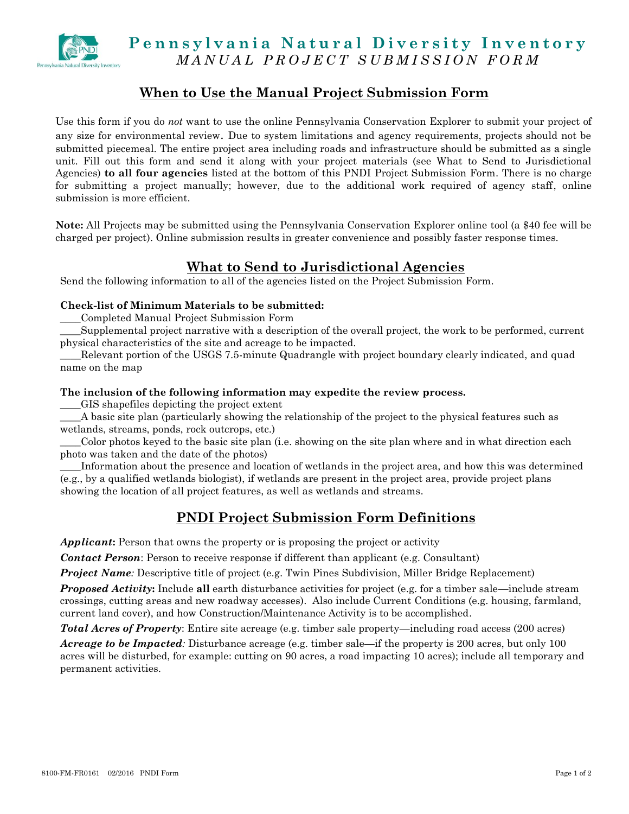

## Pennsylvania Natural Diversity Inventory *M A N U A L P R O J E C T S U B M I S S I O N FORM*

### **When to Use the Manual Project Submission Form**

Use this form if you do *not* want to use the online Pennsylvania Conservation Explorer to submit your project of any size for environmental review. Due to system limitations and agency requirements, projects should not be submitted piecemeal. The entire project area including roads and infrastructure should be submitted as a single unit. Fill out this form and send it along with your project materials (see What to Send to Jurisdictional Agencies) **to all four agencies** listed at the bottom of this PNDI Project Submission Form. There is no charge for submitting a project manually; however, due to the additional work required of agency staff, online submission is more efficient.

**Note:** All Projects may be submitted using the Pennsylvania Conservation Explorer online tool (a \$40 fee will be charged per project). Online submission results in greater convenience and possibly faster response times.

# **What to Send to Jurisdictional Agencies**

Send the following information to all of the agencies listed on the Project Submission Form.

#### **Check-list of Minimum Materials to be submitted:**

\_\_\_\_Completed Manual Project Submission Form

\_\_\_\_Supplemental project narrative with a description of the overall project, the work to be performed, current physical characteristics of the site and acreage to be impacted.

\_\_\_\_Relevant portion of the USGS 7.5-minute Quadrangle with project boundary clearly indicated, and quad name on the map

#### **The inclusion of the following information may expedite the review process.**

\_\_\_\_GIS shapefiles depicting the project extent

\_\_\_\_A basic site plan (particularly showing the relationship of the project to the physical features such as wetlands, streams, ponds, rock outcrops, etc.)

\_\_\_\_Color photos keyed to the basic site plan (i.e. showing on the site plan where and in what direction each photo was taken and the date of the photos)

\_\_\_\_Information about the presence and location of wetlands in the project area, and how this was determined (e.g., by a qualified wetlands biologist), if wetlands are present in the project area, provide project plans showing the location of all project features, as well as wetlands and streams.

### **PNDI Project Submission Form Definitions**

*Applicant***:** Person that owns the property or is proposing the project or activity

*Contact Person*: Person to receive response if different than applicant (e.g. Consultant)

*Project Name:* Descriptive title of project (e.g. Twin Pines Subdivision, Miller Bridge Replacement)

*Proposed Activity***:** Include **all** earth disturbance activities for project (e.g. for a timber sale—include stream crossings, cutting areas and new roadway accesses). Also include Current Conditions (e.g. housing, farmland, current land cover), and how Construction/Maintenance Activity is to be accomplished.

*Total Acres of Property*: Entire site acreage (e.g. timber sale property—including road access (200 acres)

*Acreage to be Impacted:* Disturbance acreage (e.g. timber sale—if the property is 200 acres, but only 100 acres will be disturbed, for example: cutting on 90 acres, a road impacting 10 acres); include all temporary and permanent activities.